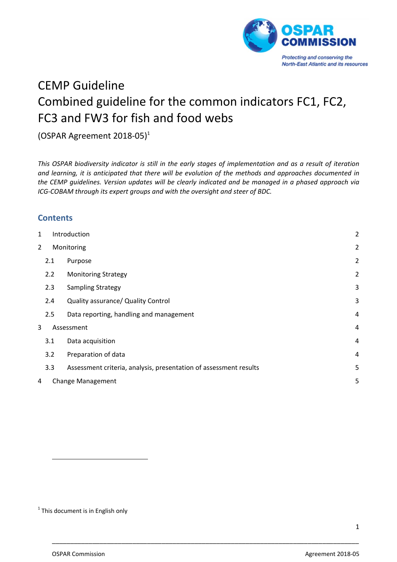

# CEMP Guideline Combined guideline for the common indicators FC1, FC2, FC3 and FW3 for fish and food webs

# (OSPAR Agreement 2018‐05)1

This OSPAR biodiversity indicator is still in the early stages of implementation and as a result of iteration *and learning, it is anticipated that there will be evolution of the methods and approaches documented in the CEMP guidelines. Version updates will be clearly indicated and be managed in a phased approach via ICG‐COBAM through its expert groups and with the oversight and steer of BDC.*

## **Contents**

| 1              |     | Introduction                                                      | $\overline{2}$ |
|----------------|-----|-------------------------------------------------------------------|----------------|
| $\overline{2}$ |     | Monitoring                                                        | $\overline{c}$ |
|                | 2.1 | Purpose                                                           | $\overline{c}$ |
|                | 2.2 | <b>Monitoring Strategy</b>                                        | $\overline{c}$ |
|                | 2.3 | <b>Sampling Strategy</b>                                          | 3              |
|                | 2.4 | Quality assurance/ Quality Control                                | 3              |
|                | 2.5 | Data reporting, handling and management                           | $\overline{4}$ |
| 3              |     | Assessment                                                        | $\overline{4}$ |
|                | 3.1 | Data acquisition                                                  | $\overline{4}$ |
|                | 3.2 | Preparation of data                                               | 4              |
|                | 3.3 | Assessment criteria, analysis, presentation of assessment results | 5              |
| 4              |     | <b>Change Management</b>                                          | 5              |
|                |     |                                                                   |                |

\_\_\_\_\_\_\_\_\_\_\_\_\_\_\_\_\_\_\_\_\_\_\_\_\_\_\_\_\_\_\_\_\_\_\_\_\_\_\_\_\_\_\_\_\_\_\_\_\_\_\_\_\_\_\_\_\_\_\_\_\_\_\_\_\_\_\_\_\_\_\_\_\_\_\_\_\_\_\_\_\_\_\_\_

 $1$  This document is in English only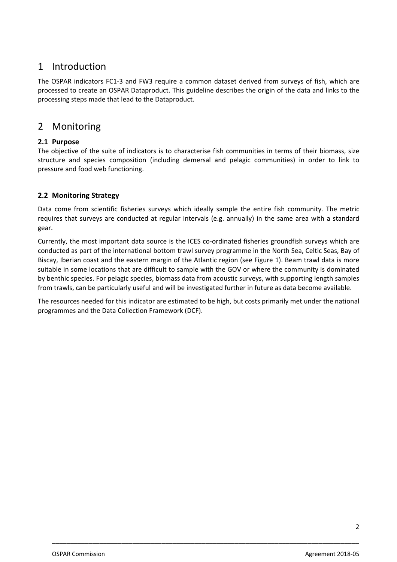# 1 Introduction

The OSPAR indicators FC1‐3 and FW3 require a common dataset derived from surveys of fish, which are processed to create an OSPAR Dataproduct. This guideline describes the origin of the data and links to the processing steps made that lead to the Dataproduct.

## 2 Monitoring

## **2.1 Purpose**

The objective of the suite of indicators is to characterise fish communities in terms of their biomass, size structure and species composition (including demersal and pelagic communities) in order to link to pressure and food web functioning.

## **2.2 Monitoring Strategy**

Data come from scientific fisheries surveys which ideally sample the entire fish community. The metric requires that surveys are conducted at regular intervals (e.g. annually) in the same area with a standard gear.

Currently, the most important data source is the ICES co-ordinated fisheries groundfish surveys which are conducted as part of the international bottom trawl survey programme in the North Sea, Celtic Seas, Bay of Biscay, Iberian coast and the eastern margin of the Atlantic region (see Figure 1). Beam trawl data is more suitable in some locations that are difficult to sample with the GOV or where the community is dominated by benthic species. For pelagic species, biomass data from acoustic surveys, with supporting length samples from trawls, can be particularly useful and will be investigated further in future as data become available.

The resources needed for this indicator are estimated to be high, but costs primarily met under the national programmes and the Data Collection Framework (DCF).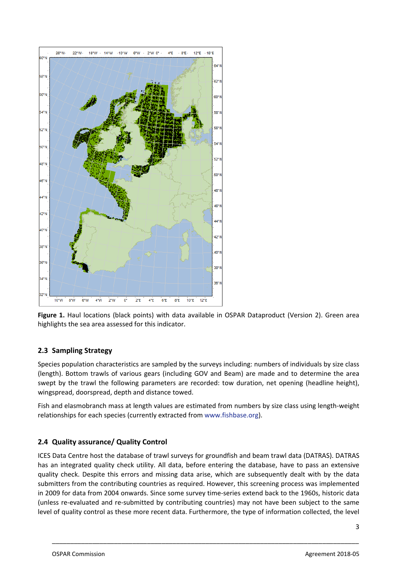

**Figure 1.** Haul locations (black points) with data available in OSPAR Dataproduct (Version 2). Green area highlights the sea area assessed for this indicator.

#### **2.3 Sampling Strategy**

Species population characteristics are sampled by the surveys including: numbers of individuals by size class (length). Bottom trawls of various gears (including GOV and Beam) are made and to determine the area swept by the trawl the following parameters are recorded: tow duration, net opening (headline height), wingspread, doorspread, depth and distance towed.

Fish and elasmobranch mass at length values are estimated from numbers by size class using length‐weight relationships for each species (currently extracted from www.fishbase.org).

#### **2.4 Quality assurance/ Quality Control**

ICES Data Centre host the database of trawl surveys for groundfish and beam trawl data (DATRAS). DATRAS has an integrated quality check utility. All data, before entering the database, have to pass an extensive quality check. Despite this errors and missing data arise, which are subsequently dealt with by the data submitters from the contributing countries as required. However, this screening process was implemented in 2009 for data from 2004 onwards. Since some survey time‐series extend back to the 1960s, historic data (unless re‐evaluated and re‐submitted by contributing countries) may not have been subject to the same level of quality control as these more recent data. Furthermore, the type of information collected, the level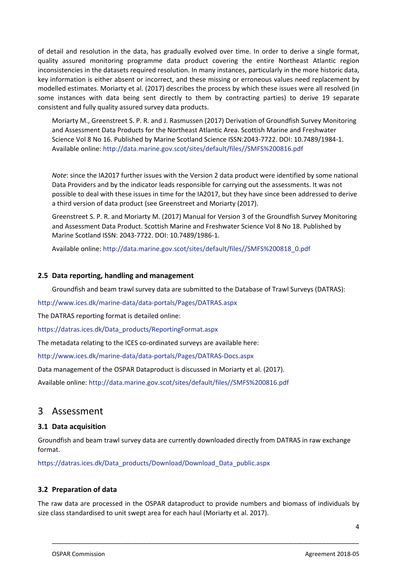of detail and resolution in the data, has gradually evolved over time. In order to derive a single format, quality assured monitoring programme data product covering the entire Northeast Atlantic region inconsistencies in the datasets required resolution. In many instances, particularly in the more historic data, key information is either absent or incorrect, and these missing or erroneous values need replacement by modelled estimates. Moriarty et al. (2017) describes the process by which these issues were all resolved (in some instances with data being sent directly to them by contracting parties) to derive 19 separate consistent and fully quality assured survey data products.

Moriarty M., Greenstreet S. P. R. and J. Rasmussen (2017) Derivation of Groundfish Survey Monitoring and Assessment Data Products for the Northeast Atlantic Area. Scottish Marine and Freshwater Science Vol 8 No 16. Published by Marine Scotland Science ISSN:2043‐7722. DOI: 10.7489/1984‐1. Available online: http://data.marine.gov.scot/sites/default/files//SMFS%200816.pdf

*Note*: since the IA2017 further issues with the Version 2 data product were identified by some national Data Providers and by the indicator leads responsible for carrying out the assessments. It was not possible to deal with these issues in time for the IA2017, but they have since been addressed to derive a third version of data product (see Greenstreet and Moriarty (2017).

Greenstreet S. P. R. and Moriarty M. (2017) Manual for Version 3 of the Groundfish Survey Monitoring and Assessment Data Product. Scottish Marine and Freshwater Science Vol 8 No 18. Published by Marine Scotland ISSN: 2043‐7722. DOI: 10.7489/1986‐1.

Available online: http://data.marine.gov.scot/sites/default/files//SMFS%200818\_0.pdf

#### **2.5 Data reporting, handling and management**

Groundfish and beam trawl survey data are submitted to the Database of Trawl Surveys (DATRAS):

http://www.ices.dk/marine‐data/data‐portals/Pages/DATRAS.aspx

The DATRAS reporting format is detailed online:

https://datras.ices.dk/Data\_products/ReportingFormat.aspx

The metadata relating to the ICES co-ordinated surveys are available here:

http://www.ices.dk/marine‐data/data‐portals/Pages/DATRAS‐Docs.aspx

Data management of the OSPAR Dataproduct is discussed in Moriarty et al. (2017).

Available online: http://data.marine.gov.scot/sites/default/files//SMFS%200816.pdf

## 3 Assessment

#### **3.1 Data acquisition**

Groundfish and beam trawl survey data are currently downloaded directly from DATRAS in raw exchange format.

https://datras.ices.dk/Data\_products/Download/Download\_Data\_public.aspx

#### **3.2 Preparation of data**

The raw data are processed in the OSPAR dataproduct to provide numbers and biomass of individuals by size class standardised to unit swept area for each haul (Moriarty et al. 2017).